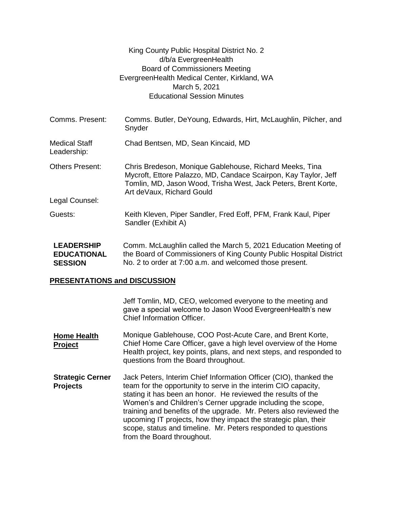|                                                           | King County Public Hospital District No. 2<br>d/b/a EvergreenHealth<br><b>Board of Commissioners Meeting</b><br>EvergreenHealth Medical Center, Kirkland, WA<br>March 5, 2021<br><b>Educational Session Minutes</b>       |  |
|-----------------------------------------------------------|---------------------------------------------------------------------------------------------------------------------------------------------------------------------------------------------------------------------------|--|
| Comms. Present:                                           | Comms. Butler, DeYoung, Edwards, Hirt, McLaughlin, Pilcher, and<br>Snyder                                                                                                                                                 |  |
| <b>Medical Staff</b><br>Leadership:                       | Chad Bentsen, MD, Sean Kincaid, MD                                                                                                                                                                                        |  |
| <b>Others Present:</b>                                    | Chris Bredeson, Monique Gablehouse, Richard Meeks, Tina<br>Mycroft, Ettore Palazzo, MD, Candace Scairpon, Kay Taylor, Jeff<br>Tomlin, MD, Jason Wood, Trisha West, Jack Peters, Brent Korte,<br>Art deVaux, Richard Gould |  |
| Legal Counsel:                                            |                                                                                                                                                                                                                           |  |
| Guests:                                                   | Keith Kleven, Piper Sandler, Fred Eoff, PFM, Frank Kaul, Piper<br>Sandler (Exhibit A)                                                                                                                                     |  |
| <b>LEADERSHIP</b><br><b>EDUCATIONAL</b><br><b>SESSION</b> | Comm. McLaughlin called the March 5, 2021 Education Meeting of<br>the Board of Commissioners of King County Public Hospital District<br>No. 2 to order at 7:00 a.m. and welcomed those present.                           |  |
| <b>PRESENTATIONS and DISCUSSION</b>                       |                                                                                                                                                                                                                           |  |
|                                                           | Jeff Tomlin, MD, CEO, welcomed everyone to the meeting and<br>gave a special welcome to Jason Wood EvergreenHealth's new                                                                                                  |  |

**Home Health Project** Monique Gablehouse, COO Post-Acute Care, and Brent Korte, Chief Home Care Officer, gave a high level overview of the Home Health project, key points, plans, and next steps, and responded to questions from the Board throughout.

Chief Information Officer.

**Strategic Cerner Projects** Jack Peters, Interim Chief Information Officer (CIO), thanked the team for the opportunity to serve in the interim CIO capacity, stating it has been an honor. He reviewed the results of the Women's and Children's Cerner upgrade including the scope, training and benefits of the upgrade. Mr. Peters also reviewed the upcoming IT projects, how they impact the strategic plan, their scope, status and timeline. Mr. Peters responded to questions from the Board throughout.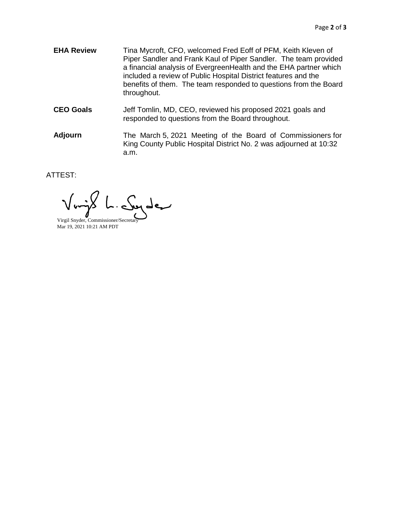- **EHA Review** Tina Mycroft, CFO, welcomed Fred Eoff of PFM, Keith Kleven of Piper Sandler and Frank Kaul of Piper Sandler. The team provided a financial analysis of EvergreenHealth and the EHA partner which included a review of Public Hospital District features and the benefits of them. The team responded to questions from the Board throughout.
- **CEO Goals** Jeff Tomlin, MD, CEO, reviewed his proposed 2021 goals and responded to questions from the Board throughout.
- **Adjourn** The March 5, 2021 Meeting of the Board of Commissioners for King County Public Hospital District No. 2 was adjourned at 10:32 a.m.

ATTEST:

بمعرطص

Virgil Snyder, Commissioner/Secretar Mar 19, 2021 10:21 AM PDT